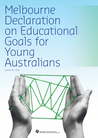# Melbourne Declaration on Educational Goals for Young Australians

December 2008

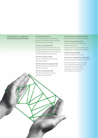This Declaration is made by all Australian Education Ministers:

### Mr Andrew Barr MLA

Minister for Education and Training, Minister for Children and Young People (Australian Capital Territory)

 The Hon. Julia Gillard MP Deputy Prime Minister and Minister for Education, Minister for Employment and Workplace Relations, Minister for Social Inclusion (Australian Government)

 The Hon. Verity Firth MP Minister for Education and Training (New South Wales)

 The Hon. Marion Scrymgour MLA Minister for Education and Training (Northern Territory)

 The Hon. Rod Welford MP Minister for Education, Training and the Arts (Queensland)

 The Hon. Dr Jane Lomax-Smith MP Minister for Education (South Australia)

 The Hon. David Bartlett MP Premier and Minister for Education and Skills (Tasmania) Chair, Ministerial Council on Education, Employment, Training and Youth Affairs

 The Hon. Bronwyn Pike Minister for Education (Victoria)

 The Hon. Dr Elizabeth Constable MLA Minister for Education (Western Australia)

 Ministers would like to acknowledge the members of the Working Group responsible for developing this Declaration, and thank them for their valuable contribution.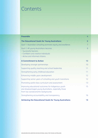# Contents

| <b>Preamble</b>                                                                                                                                    | 4              |
|----------------------------------------------------------------------------------------------------------------------------------------------------|----------------|
| <b>The Educational Goals for Young Australians</b>                                                                                                 | 6              |
| Goal 1: Australian schooling promotes equity and excellence                                                                                        | $\overline{7}$ |
| Goal 2: All young Australians become:<br>- Successful learners<br>- Confident and creative individuals                                             | 8              |
| - Active and informed citizens                                                                                                                     |                |
| <b>A Commitment to Action</b>                                                                                                                      | 10             |
| Developing stronger partnerships                                                                                                                   | 10             |
| Supporting quality teaching and school leadership                                                                                                  | 11             |
| Strengthening early childhood education                                                                                                            | 11             |
| Enhancing middle years development                                                                                                                 | 12             |
| Supporting senior years of schooling and youth transitions                                                                                         | 12             |
| Promoting world-class curriculum and assessment                                                                                                    | 13             |
| Improving educational outcomes for Indigenous youth<br>and disadvantaged young Australians, especially those<br>from low socioeconomic backgrounds | 15             |
| Strengthening accountability and transparency                                                                                                      | 16             |
| <b>Achieving the Educational Goals for Young Australians</b>                                                                                       | 18             |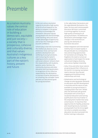# Preamble

 As a nation Australia values the central role of education in building a democratic, equitable and just society a society that is prosperous, cohesive and culturally diverse, and that values Australia's Indigenous cultures as a key part of the nation's history, present and future.

 In the 21st century Australia's capacity to provide a high quality of life for all will depend on the ability to compete in the global economy on knowledge and innovation. Education equips young people with the knowledge, understanding, skills and values to take advantage of opportunity and to face the challenges of this era with confidence

 Schools play a vital role in promoting the intellectual, physical, social, emotional, moral, spiritual and aesthetic development and wellbeing of young Australians, and in ensuring the nation's ongoing economic prosperity and social cohesion. Schools share this responsibility with students, parents, carers, families, the community, business and other education and training providers. In recognition of this collective responsibility, this declaration, in contrast to earlier declarations on schooling, has a broader frame and sets out educational goals for young Australians.

 In the 1989 Hobart Declaration and the 1999 Adelaide Declaration, the State, Territory and Commonwealth Education Ministers committed to working together to ensure high-quality schooling for all young Australians. The Melbourne Declaration acknowledges major changes in the world that are placing new demands on Australian education:

- Global integration and international mobility have increased rapidly in the past decade. As a consequence, new and exciting opportunities for Australians are emerging. This heightens the need to nurture an appreciation of and respect for social, cultural and religious diversity, and a sense of global citizenship.
- India, China and other Asian nations are growing and their influence on the world is increasing. Australians need to become 'Asia literate', engaging and building strong relationships with Asia.
- Globalisation and technological change are placing greater demands on education and skill development in Australia and the nature of jobs available to young Australians is changing faster than ever. Skilled jobs now dominate jobs growth and people with university or vocational education and training qualifications fare much better in the employment market than early school leavers. To maximise their opportunities for healthy, productive and rewarding futures, Australia's young people must be encouraged not only to complete secondary education, but also to proceed into further training or education.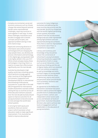- Complex environmental, social and economic pressures such as climate change that extend beyond national borders pose unprecedented challenges, requiring countries to work together in new ways. To meet these challenges, Australians must be able to engage with scientific concepts and principles, and approach problem-solving in new and creative ways.
- Rapid and continuing advances in information and communication technologies (ICT) are changing the ways people share, use, develop and process information and technology. In this digital age, young people need to be highly skilled in the use of ICT. While schools already employ these technologies in learning, there is a need to increase their effectiveness significantly over the next decade.

 Australia has developed a highquality, world-class schooling system, which performs strongly against other countries of the Organisation for Economic Cooperation and Development (OECD). In international benchmarking of educational outcomes for 15-year-olds in the 2006 OECD Programme for International Student Assessment, Australia ranked among the top 10 countries across all three education domains assessed. Over the next decade Australia should aspire to improve outcomes for all young Australians to become second to none amongst the world's best school systems.

 In striving for both equity and excellence, there are several areas in which Australian school education needs to make significant improvement. First, Australia has failed to improve educational

outcomes for many Indigenous Australians and addressing this issue must be a key priority over the next decade. Second, by comparison with the world's highest performing school systems, Australian students from low socioeconomic backgrounds are under-represented among high achievers and overrepresented among low achievers. Third, there is room for improvement in Australia's rate of Year 12 completion or equivalent.

 Literacy and numeracy and knowledge of key disciplines remain the cornerstone of schooling for young Australians. Schooling should also support the development of skills in areas such as social interaction, crossdisciplinary thinking and the use of digital media, which are essential in all 21st century occupations. As well as knowledge and skills, a school's legacy to young people should include national values of democracy, equity and justice, and personal values and attributes such as honesty, resilience and respect for others.

 As signatories to the Melbourne Declaration, Australian Education Ministers seek to achieve the highest possible level of collaboration with the government, Catholic and independent school sectors and across and between all levels of government. Australian Education Ministers also seek to achieve new levels of engagement with all stakeholders in the education of young Australians.

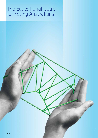# The Educational Goals for Young Australians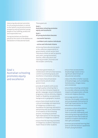Improving educational outcomes for all young Australians is central to the nation's social and economic prosperity and will position young people to live fulfilling, productive and responsible lives.

 Young Australians are therefore placed at the centre of the Melbourne Declaration on Educational Goals.

### Goal 1: Australian schooling promotes equity and excellence

These goals are:

## Goal 1:

Australian schooling promotes equity and excellence

 Goal 2: All young Australians become:

- successful learners
- confident and creative individuals
- active and informed citizens

 Achieving these educational goals is the collective responsibility of governments, school sectors and individual schools as well as parents and carers, young Australians, families, other education and training providers, business and the broader community.

 Australian governments, in collaboration with all school sectors, commit to promoting equity and excellence in Australian schooling.

 This means that all Australian governments and all school sectors must:

- provide all students with access to high-quality schooling that is free from discrimination based on gender, language, sexual orientation, pregnancy, culture, ethnicity, religion, health or disability, socioeconomic background or geographic location
- ensure that schools build on local cultural knowledge and experience of Indigenous students as a foundation for learning, and work in partnership with local communities on all aspects of the schooling process, including to promote high expectations for the learning outcomes of Indigenous students
- ensure that the learning outcomes of Indigenous students improve to match those of other students
- ensure that socioeconomic disadvantage ceases to be a significant determinant of educational outcomes
- reduce the effect of other sources of disadvantage, such as disability, homelessness, refugee status and remoteness
- ensure that schooling contributes to a socially cohesive society that respects and appreciates cultural, social and religious diversity
- encourage parents, carers, families, the broader community and young people themselves to hold high expectations for their educational outcomes
- promote a culture of excellence in all schools, by supporting them to provide challenging, and stimulating learning experiences and opportunities that enable all students to explore and build on their gifts and talents
- promote personalised learning that aims to fulfil the diverse capabilities of each young Australian.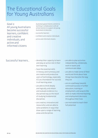# The Educational Goals for Young Australians

 Goal 2: All young Australians become successful learners, confident and creative individuals, and active and informed citizens

 Australian governments commit to working in collaboration with all school sectors to support all young Australians to become:

- successful learners
- confident and creative individuals
- active and informed citizens.

- Successful learners develop their capacity to learn and play an active role in their own learning
	- have the essential skills in literacy and numeracy and are creative and productive users of technology, especially ICT, as a foundation for success in all learning areas
	- are able to think deeply and logically, and obtain and evaluate evidence in a disciplined way as the result of studying fundamental disciplines
	- are creative, innovative and resourceful, and are able to solve problems in ways that draw upon a range of learning areas and disciplines
- are able to plan activities independently, collaborate, work in teams and communicate ideas
- are able to make sense of their world and think about how things have become the way they are
- are on a pathway towards continued success in further education, training or employment, and acquire the skills to make informed learning and employment decisions throughout their lives
- are motivated to reach their full potential.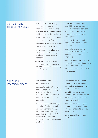### Confident and creative individuals…

- 
- Active and informed citizens…
- have a sense of self-worth, self-awareness and personal identity that enables them to manage their emotional, mental, spiritual and physical wellbeing
- have a sense of optimism about their lives and the future
- are enterprising, show initiative and use their creative abilities
- develop personal values and attributes such as honesty, resilience, empathy and respect for others
- have the knowledge, skills, understanding and values to establish and maintain healthy, satisfying lives
- have the confidence and capability to pursue university or post-secondary vocational qualifications leading to rewarding and productive employment
- relate well to others and form and maintain healthy relationships
- are well prepared for their potential life roles as family, community and workforce members
- embrace opportunities, make rational and informed decisions about their own lives and accept responsibility for their own actions.

- act with moral and ethical integrity
- appreciate Australia's social, cultural, linguistic and religious diversity, and have an understanding of Australia's system of government, history and culture
- understand and acknowledge the value of Indigenous cultures and possess the knowledge, skills and understanding to contribute to, and benefit from, reconciliation between Indigenous and non-Indigenous Australians
- are committed to national values of democracy, equity and justice, and participate in Australia's civic life
- are able to relate to and communicate across cultures, especially the cultures and countries of Asia
- work for the common good, in particular sustaining and improving natural and social environments
- are responsible global and local citizens.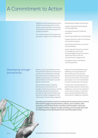Together, all Australian governments commit to working with all school sectors and the broader community to achieve the educational goals for young Australians.

 This commitment will be supported by action in eight inter-related areas:

- developing stronger partnerships
- supporting quality teaching and school leadership
- strengthening early childhood education
- enhancing middle years development
- supporting senior years of schooling and youth transitions
- promoting world-class curriculum and assessment
- improving educational outcomes for Indigenous youth and disadvantaged young Australians, especially those from low socioeconomic backgrounds
- strengthening accountability and transparency.

support for the development and wellbeing of young people and their families and can provide opportunities for young Australians to connect with their communities, participate in civic life and develop a sense of responsible citizenship.

 In particular, the development of partnerships between schools and Indigenous communities, based on cross-cultural respect, is the main way of achieving highly effective schooling for Indigenous students.

 Australian governments commit to working with all school sectors to ensure Au that schools engage young Australians, parents, carers, families, other scho education and training providers, business and the broader community to support students' progress through schooling, and to provide them with rich learning, personal development and citizenship opportunities. pe

# Developing stronger partnerships

 Parents, carers and families are the first and most important influence in a child's life, instilling the attitudes and values that will support young people to participate in schooling and contribute to broader local and global communities.

 Partnerships between students, parents, carers and families, the broader community, business, schools and other education and training providers bring mutual benefits and maximise student engagement and achievement. Partnerships engender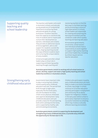### Supporting quality teaching and school leadership

# Strengthening early childhood education

 The teachers and leaders who work in Australia's schools and educate young people are of fundamental importance to achieving these educational goals for young Australians. Excellent teachers have the capacity to transform the lives of students and to inspire and nurture their development as learners, individuals and citizens. They provide an additional source of encouragement, advice and support for students outside the home, shaping teaching around the ways different students learn and nurturing the unique talents of every student.

 School principals and other school leaders play a critical role in supporting and fostering quality teaching through coaching and

mentoring teachers to find the best ways to facilitate learning, and by promoting a culture of high expectations in schools. School leaders are responsible for creating and sustaining the learning environment and the conditions under which quality teaching and learning take place.

 All Australian governments, universities, school sectors and individual schools have a responsibility to work together to support high-quality teaching and school leadership, including by enhancing pre-service teacher education.

 Australian governments commit to working with all school sectors to attract, develop, support and retain a high-quality teaching and school leadership workforce in Australian schools.

 Governments have important roles to play in ensuring that children receive quality early childhood education and care. The period from birth through to eight years, especially the first three years, sets the foundation for every child's social, physical, emotional and cognitive development. Early childhood education and care provides a basis for life and learning, both within and beyond the home, and is supported by healthy, safe and stimulating environments.

 Children who participate in quality early childhood education are more likely to make a successful transition to school, stay longer in school, continue on to further education and fully participate in employment and community life as adults. Support for Indigenous children in the early years before school is particularly important to ensure a successful transition to schooling, which may involve a culturally different learning environment.

 Australian governments commit to supporting the development and strengthening of early childhood education, to provide every child with the opportunity for the best start in life.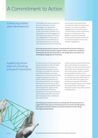### Enhancing middle years development

 The middle years are an important period of learning, in which knowledge of fundamental disciplines is developed, yet this is also a time when students are at the greatest risk of disengagement from learning. Student motivation and engagement in these years is critical, and can be influenced by tailoring approaches to teaching, with learning activities and learning environments that specifically consider the needs of middle years students. Focusing on student engagement and converting this into learning can have a significant impact on student outcomes. Effective transitions between primary and secondary schools are an important aspect of ensuring student engagement.

 Australian governments commit to working with all school sectors to ensure that schools provide programs that are responsive to students' developmental and learning needs in the middle years, and which are challenging, engaging and rewarding.

## Supporting senior years of schooling and youth transitions

 The senior years of schooling should provide all students with the highquality education necessary to complete their secondary school education and make the transition to further education, training or employment. Schooling should offer a range of pathways to meet the diverse needs and aspirations of all young Australians, encouraging them to pursue university or postsecondary vocational qualifications that increase their opportunities for rewarding and productive employment. This requires effective partnerships with other education and training providers, employers and communities.

 Schools need to provide information, advice and options to students so that they can make informed choices about their future. All governments and school sectors need to support young people's transition from schooling into further study, training or employment and enable them to acquire the skills that support this, including an appetite for lifelong learning. Support may also be needed for young people returning to education and training after a period of employment.

 Australian governments commit to working with all school sectors to Austra support the senior years of schooling and the provision of high-quality pathways to facilitate effective transitions between further study, training and employment.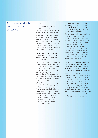### Promoting world-class curriculum and assessment

### Curriculum

Curriculum will be designed to develop successful learners, confident and creative individuals and active and informed citizens.

 State, Territory and Commonwealth governments will work together with all school sectors to ensure world-class curriculum in Australia. Together the national curriculum and curriculum specified at the State, Territory and local levels will enable every student to develop:

### A solid foundation in knowledge, understanding, skills and values on which further learning and adult life can be built

 The curriculum will include a strong focus on literacy and numeracy skills. It will also enable students to build social and emotional intelligence, and nurture student wellbeing through health and physical education in particular. The curriculum will support students to relate well to others and foster an understanding of Australian society, citizenship and national values, including through the study of civics and citizenship. As a foundation for further learning and adult life the curriculum will include practical knowledge and skills development in areas such as ICT and design and technology, which are central to Australia's skilled economy and provide crucial pathways to post-school success.

 Deep knowledge, understanding, skills and values that will enable advanced learning and an ability to create new ideas and translate them into practical applications

 The curriculum will enable students to develop knowledge in the disciplines of English, mathematics, science, languages, humanities and the arts; to understand the spiritual, moral and aesthetic dimensions of life; and open up new ways of thinking. It will also support the development of deep knowledge within a discipline, which provides the foundation for inter-disciplinary approaches to innovation and complex problem-solving.

 General capabilities that underpin flexible and analytical thinking, a capacity to work with others and an ability to move across subject disciplines to develop new expertise

 The curriculum will support young people to develop a range of generic and employability skills that have particular application to the world of work and further education and training, such as planning and organising, the ability to think flexibly, to communicate well and to work in teams. Young people also need to develop the capacity to think creatively, innovate, solve problems and engage with new disciplines.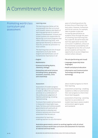### Promoting world-class curriculum and assessment

### Learning areas

 The learning areas below will be incorporated into the curriculum with breadth, balance and depth of learning appropriate to students' phases of development. Schools and school systems are responsible for delivering curriculum programs that reflect these learning areas, with appropriate flexibility to determine how this can best be achieved in a local context.

 The learning areas are not of equal importance at all year levels. English and mathematics are of fundamental importance in all

- English
- Mathematics
- Sciences (including physics, chemistry, biology)
- Humanities and social sciences (including history, geography, economics, business, civics and citizenship)

#### Assessment

 Assessment of student progress will be rigorous and comprehensive. It needs to reflect the curriculum. and draw on a combination of the professional judgement of teachers and testing, including national testing.

 To ensure that student achievement is measured in meaningful ways, State, Territory and Commonwealth governments will work with all school sectors to develop and enhance national and school-level assessment that focuses on:

– assessment for learning enabling teachers to use information years of schooling and are the primary focus of learning in the early years. However, humanities and social sciences, for example, take on greater scope and increasing specialisation as students move through the years of schooling. Each learning area has a specific discipline base and each has application across the curriculum. In addition, a focus on environmental sustainability will be integrated across the curriculum and all students will have the opportunity to access Indigenous content where relevant.

- The arts (performing and visual)
- Languages (especially Asian languages)
- Health and physical education
- Information and Communication Technology and design and technology

about student progress to inform their teaching

- assessment as learning—enabling students to reflect on and monitor their own progress to inform their future learning goals
- assessment of learning—assisting teachers to use evidence of student learning to assess student achievement against goals and standards.

 Australian governments commit to working together with all school sectors to ensure world-class curriculum and assessment for Australia at national and local levels.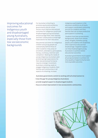Improving educational outcomes for Indigenous youth and disadvantaged young Australians, especially those from low socioeconomic backgrounds

 For Australian schooling to promote equity and excellence, governments and all school sectors must improve educational outcomes for Indigenous youth and disadvantaged young Australians and encourage them, their families and their communities to hold high expectations for their education.

 Educational outcomes for Indigenous children and young people are substantially behind those of other students in key areas of enrolment, attendance, participation, literacy, numeracy, retention and completion. Meeting the needs of young Indigenous Australians and promoting high expectations for their educational performance requires strategic investment. Australian schooling needs to engage Indigenous students, their families and communities in all aspects of schooling; increase

Indigenous participation in the education workforce at all levels; and support coordinated community services for students and their families that can increase productive participation in schooling.

 Students from low socioeconomic backgrounds, those from remote areas, refugees, homeless young people, and students with disabilities often experience educational disadvantage. Targeted support can help disadvantaged young Australians to achieve better educational outcomes.

 Australian governments must support all young Australians to achieve not only equality of opportunity but also more equitable outcomes.

Australian governments commit to working with all school sectors to:

- –'close the gap' for young Indigenous Australians
- provide targeted support to disadvantaged students
- focus on school improvement in low socioeconomic communities.

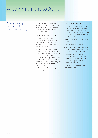### Strengthening accountability and transparency

 Good-quality information on schooling is important for schools and their students, for parents and families, for the community and for governments.

### For schools and their students

 Schools need reliable, rich data on the performance of their students because they have the primary accountability for improving student outcomes.

 Good quality data supports each school to improve outcomes for all of their students. It supports effective diagnosis of student progress and the design of high-quality learning programs. It also informs schools' approaches to provision of programs, school policies, pursuit and allocation of resources, relationships with parents and partnerships with community and business.

### For parents and families

 Information about the performance of individuals, schools and systems helps parents and families make informed choices and engage with their children's education and the school community.

 Parents and families should have access to:

- data on student outcomes
- data that allows them to assess a school's performance overall and in improving student outcomes
- contextual information about the philosophy and educational approach of schools, and their facilities, programs and extracurricular activities
- information about a school's enrolment profile.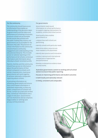### For the community

 The community should have access to information that enables an understanding of the decisions taken by governments and the status and performance of schooling in Australia, to ensure schools are accountable for the results they achieve with the public funding they receive, and governments are accountable for the decisions they take. The provision of school information to the community should enhance community engagement and understanding of the educational enterprise. This includes access to national reporting on the performance of all schools, contextual information and information about individual schools' enrolment profile.

 Parents, families and the community should have access to information about the performance of their school compared to schools with similar characteristics. Australian governments will work together to achieve nationally comparable reporting about schools.

 In providing information on schooling, governments will ensure that school-based information is published responsibly, so that any public comparisons of schools will be fair, contain accurate and verified data, contextual information and a range of indicators. Governments will not themselves devise simplistic league tables or rankings and privacy will be protected.

#### For governments

 Governments need sound information on school performance to support ongoing improvement for students, schools and school sectors.

 Good quality data enables governments to:

- analyse how well schools are performing
- identify schools with particular needs
- determine where resources are most needed to lift attainment
- identify best practice and innovation
- conduct national and international comparisons of approaches and performance
- develop a substantive evidence base on what works.

### Australian governments commit to working with all school sectors to ensure that public reporting:

- focuses on improving performance and student outcomes
- is both locally and nationally relevant
- is timely, consistent and comparable.

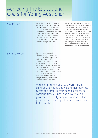# Achieving the Educational Goals for Young Australians

Action Plan The Melbourne Declaration will be supported by a series of action plans, commencing with an action plan for 2009–12. The action plans will outline the strategies and initiatives that Australian governments will undertake, in collaboration with all school sectors, to support the achievement of the Educational Goals for Young Australians.

 The action plans will be supported by and based on a renewed commitment to federalism that encourages best practice in education and enables governments to share and apply their knowledge. With such an approach all governments will share the costs and benefits of reforms to give every young Australian a real chance of becoming a successful learner, a confident and creative individual and an active and informed citizen.

 Biennial Forum There are many innovative educational reforms developed in individual schools and sectors, and there is potential for the best of these to be adapted and shared across the nation. All Australian governments will jointly convene a biennial national forum to support the achievement of the educational goals and to showcase best practice across Australian States and Territories, the Commonwealth and government, Catholic and independent school sectors.

> With commitment and hard work—from children and young people and their parents, carers and families, from schools, teachers, communities, business and all Australian governments—all young Australians will be provided with the opportunity to reach their full potential.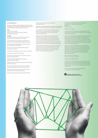#### Acknowledgements

 Ministers would like to acknowledge the members of the Working Group responsible for developing this Declaration, and thank them for their valuable contribution:

#### Chair

Professor Peter Dawkins Department of Education and Early Childhood Development (Victoria)

#### Members

Ms Margaret Banks, Dr Kevin Gillan, Department of Education and Training (Northern Territory)

 Dr Michele Bruniges, Ms Janet Davy, Department of Education and Training (Australian Capital Territory)

 Mr Michael Coutts-Trotter, Department of Education and Training (New South Wales)

 Dr Brian Croke, Mr Ron Dullard, National Catholic Education Commission

Mr Bill Daniels, Independent Schools Council of Australia

Ms Lesley Foster, MCEETYA Secretariat

 Ms Rachel Hunter, Department of Education, Training and the Arts (Queensland)

 Professor Barry McGaw AO, Mr Tony Mackay, National Curriculum Board

 Ms Sharyn O'Neill, Department of Education and Training (Western Australia)

 Ms Lisa Paul, Department of Education, Employment and Workplace Relations (Australian Government)

 Mr Christopher Robinson, Department of Education and Children's Services (South Australia)

Mr John Smyth, Department of Education (Tasmania)

The Working Group also received significant contributions from:

 Mr Bill Burmester (Australian Government), Ms Norma Jeffrey (Western Australia) and Ms Leslie Loble (New South Wales).

 The development of the Melbourne Declaration was supported by a Secretariat and Project Team based in the Victorian Department of Education and Early Childhood Development.

 The goals were informed by extensive national and jurisdictional consultation over two stages. Initial input and feedback based on the *Future of Schooling in Australia* report helped shape the first draft of the new Declaration, which was then the basis for a second round of targeted consultations and public submissions. All feedback was considered in developing the final document.

 The Working Group also drew on a range of international literature and particularly benefi ted from the United Kingdom Qualifications and Curriculum Authority's *Futures in action: Building a 21st century curriculum*, which informed the drafting of Goal No. 2.

 Published by the Ministerial Council on Education, Employment, Training and Youth Affairs Melbourne December 2008

ISBN 978-0-7594-0524-0

 © 2008 Curriculum Corporation as the legal entity for the Ministerial Council on Education, Employment, Training and Youth Affairs (MCEETYA).

 Curriculum Corporation as the legal entity for the Ministerial Council on Education, Employment, Training and Youth Affairs (MCEETYA) owns the copyright to this publication. This publication or any part of it may be used freely only for non-profi t education purposes provided the source is clearly acknowledged. The publication may not be sold or used for any other commercial purpose.

 Other than as permitted above or by the Copyright Act 1968 (Commonwealth) no part of this publication may be reproduced, stored, published, performed, communicated or adapted, regardless of the form or means (electronic, photocopying or otherwise), without the prior written permission of the copyright owner. Address inquiries regarding copyright to:

MCEETYA Secretariat, PO Box 202 Carlton South, VIC 3053, Australia

Designed by Design by Pidgeon

 Printed on Monza Recycled paper containing 55% recycled fi bre (25% post consumer and 30% pre consumer) and 45% elemental chlorine free pulp. All virgin pulp is derived from well-managed forests, and is manufactured by an ISO 14001 certified mill

 This document is also available in pdf format on the internet at www.mceetya.edu.au